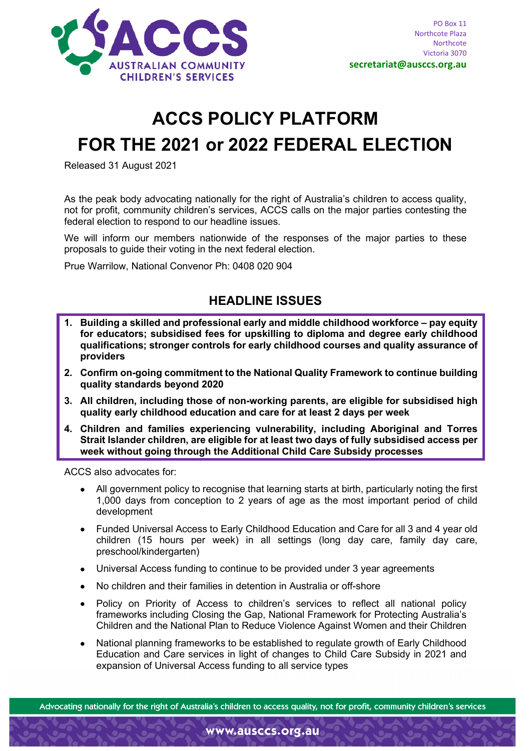

# **ACCS POLICY PLATFORM FOR THE 2021 or 2022 FEDERAL ELECTION**

Released 31 August 2021

As the peak body advocating nationally for the right of Australia's children to access quality, not for profit, community children's services, ACCS calls on the major parties contesting the federal election to respond to our headline issues.

We will inform our members nationwide of the responses of the major parties to these proposals to guide their voting in the next federal election.

Prue Warrilow, National Convenor Ph: 0408 020 904

# **HEADLINE ISSUES**

- **1. Building a skilled and professional early and middle childhood workforce – pay equity for educators; subsidised fees for upskilling to diploma and degree early childhood qualifications; stronger controls for early childhood courses and quality assurance of providers**
- **2. Confirm on-going commitment to the National Quality Framework to continue building quality standards beyond 2020**
- **3. All children, including those of non-working parents, are eligible for subsidised high quality early childhood education and care for at least 2 days per week**
- **4. Children and families experiencing vulnerability, including Aboriginal and Torres Strait Islander children, are eligible for at least two days of fully subsidised access per week without going through the Additional Child Care Subsidy processes**

ACCS also advocates for:

- All government policy to recognise that learning starts at birth, particularly noting the first 1,000 days from conception to 2 years of age as the most important period of child development
- Funded Universal Access to Early Childhood Education and Care for all 3 and 4 year old children (15 hours per week) in all settings (long day care, family day care, preschool/kindergarten)
- Universal Access funding to continue to be provided under 3 year agreements
- No children and their families in detention in Australia or off-shore
- Policy on Priority of Access to children's services to reflect all national policy frameworks including Closing the Gap, National Framework for Protecting Australia's Children and the National Plan to Reduce Violence Against Women and their Children
- National planning frameworks to be established to regulate growth of Early Childhood Education and Care services in light of changes to Child Care Subsidy in 2021 and expansion of Universal Access funding to all service types

Advocating nationally for the right of Australia's children to access quality, not for profit, community children's services

www.ausccs.org.au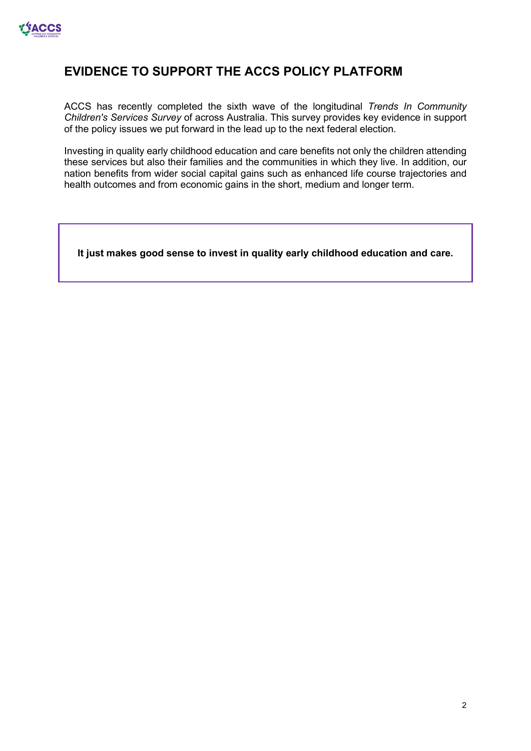

# **EVIDENCE TO SUPPORT THE ACCS POLICY PLATFORM**

ACCS has recently completed the sixth wave of the longitudinal *[Trends In Community](http://ausccs.org.au/?page_id=93)  [Children's Services Survey](http://ausccs.org.au/?page_id=93)* of across Australia. This survey provides key evidence in support of the policy issues we put forward in the lead up to the next federal election.

Investing in quality early childhood education and care benefits not only the children attending these services but also their families and the communities in which they live. In addition, our nation benefits from wider social capital gains such as enhanced life course trajectories and health outcomes and from economic gains in the short, medium and longer term.

**It just makes good sense to invest in quality early childhood education and care.**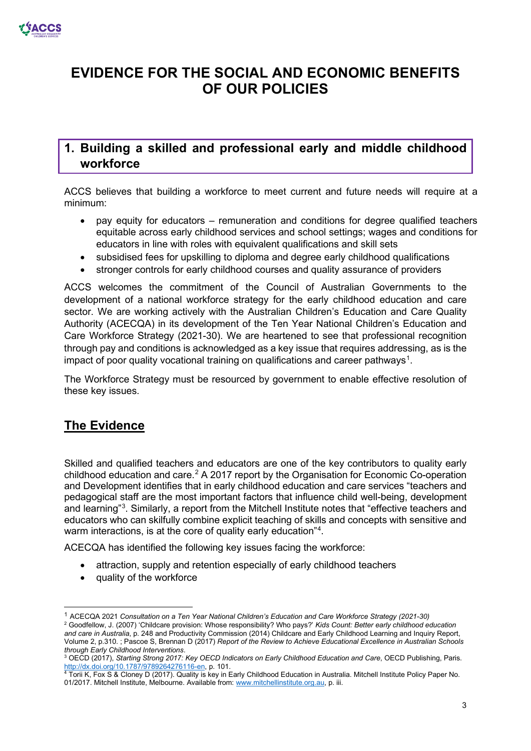

# **EVIDENCE FOR THE SOCIAL AND ECONOMIC BENEFITS OF OUR POLICIES**

# **1. Building a skilled and professional early and middle childhood workforce**

ACCS believes that building a workforce to meet current and future needs will require at a minimum:

- pay equity for educators remuneration and conditions for degree qualified teachers equitable across early childhood services and school settings; wages and conditions for educators in line with roles with equivalent qualifications and skill sets
- subsidised fees for upskilling to diploma and degree early childhood qualifications
- stronger controls for early childhood courses and quality assurance of providers

ACCS welcomes the commitment of the Council of Australian Governments to the development of a national workforce strategy for the early childhood education and care sector. We are working actively with the Australian Children's Education and Care Quality Authority (ACECQA) in its development of the Ten Year National Children's Education and Care Workforce Strategy (2021-30). We are heartened to see that professional recognition through pay and conditions is acknowledged as a key issue that requires addressing, as is the impact of poor quality vocational training on qualifications and career pathways $^{\rm 1}.$  $^{\rm 1}.$  $^{\rm 1}.$ 

The Workforce Strategy must be resourced by government to enable effective resolution of these key issues.

# **The Evidence**

Skilled and qualified teachers and educators are one of the key contributors to quality early childhood education and care.[2](#page-2-1) A 2017 report by the Organisation for Economic Co-operation and Development identifies that in early childhood education and care services "teachers and pedagogical staff are the most important factors that influence child well-being, development and learning"<sup>[3](#page-2-2)</sup>. Similarly, a report from the Mitchell Institute notes that "effective teachers and educators who can skilfully combine explicit teaching of skills and concepts with sensitive and warm interactions, is at the core of quality early education"<sup>[4](#page-2-3)</sup>.

ACECQA has identified the following key issues facing the workforce:

- attraction, supply and retention especially of early childhood teachers
- quality of the workforce

<span id="page-2-1"></span><span id="page-2-0"></span><sup>1</sup> ACECQA 2021 *Consultation on a Ten Year National Children's Education and Care Workforce Strategy (2021-30)* <sup>2</sup> Goodfellow, J. (2007) 'Childcare provision: Whose responsibility? Who pays?' *Kids Count: Better early childhood education and care in Australia*, p. 248 and Productivity Commission (2014) Childcare and Early Childhood Learning and Inquiry Report, Volume 2, p.310. ; Pascoe S, Brennan D (2017) *Report of the Review to Achieve Educational Excellence in Australian Schools through Early Childhood Interventions*.

<span id="page-2-2"></span><sup>3</sup> OECD (2017), *Starting Strong 2017: Key OECD Indicators on Early Childhood Education and Care*, OECD Publishing, Paris. [http://dx.doi.org/10.1787/9789264276116-en,](http://dx.doi.org/10.1787/9789264276116-en) p. 101.<br>4 Torii K, Fox S & Cloney D (2017). Quality is key in Early Childhood Education in Australia. Mitchell Institute Policy Paper No.

<span id="page-2-3"></span><sup>01/2017.</sup> Mitchell Institute, Melbourne. Available from[: www.mitchellinstitute.org.au,](http://www.mitchellinstitute.org.au/) p. iii.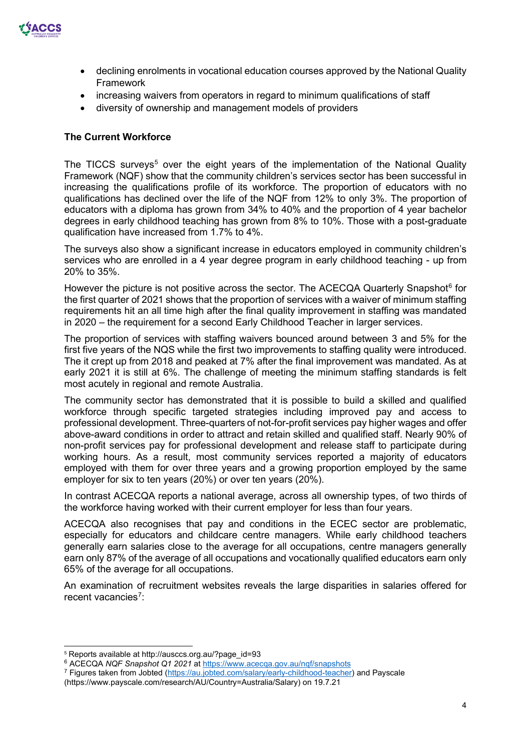

- declining enrolments in vocational education courses approved by the National Quality Framework
- increasing waivers from operators in regard to minimum qualifications of staff
- diversity of ownership and management models of providers

#### **The Current Workforce**

The TICCS surveys<sup>[5](#page-3-0)</sup> over the eight years of the implementation of the National Quality Framework (NQF) show that the community children's services sector has been successful in increasing the qualifications profile of its workforce. The proportion of educators with no qualifications has declined over the life of the NQF from 12% to only 3%. The proportion of educators with a diploma has grown from 34% to 40% and the proportion of 4 year bachelor degrees in early childhood teaching has grown from 8% to 10%. Those with a post-graduate qualification have increased from 1.7% to 4%.

The surveys also show a significant increase in educators employed in community children's services who are enrolled in a 4 year degree program in early childhood teaching - up from 20% to 35%.

However the picture is not positive across the sector. The ACECQA Quarterly Snapshot<sup>[6](#page-3-1)</sup> for the first quarter of 2021 shows that the proportion of services with a waiver of minimum staffing requirements hit an all time high after the final quality improvement in staffing was mandated in 2020 – the requirement for a second Early Childhood Teacher in larger services.

The proportion of services with staffing waivers bounced around between 3 and 5% for the first five years of the NQS while the first two improvements to staffing quality were introduced. The it crept up from 2018 and peaked at 7% after the final improvement was mandated. As at early 2021 it is still at 6%. The challenge of meeting the minimum staffing standards is felt most acutely in regional and remote Australia.

The community sector has demonstrated that it is possible to build a skilled and qualified workforce through specific targeted strategies including improved pay and access to professional development. Three-quarters of not-for-profit services pay higher wages and offer above-award conditions in order to attract and retain skilled and qualified staff. Nearly 90% of non-profit services pay for professional development and release staff to participate during working hours. As a result, most community services reported a majority of educators employed with them for over three years and a growing proportion employed by the same employer for six to ten years (20%) or over ten years (20%).

In contrast ACECQA reports a national average, across all ownership types, of two thirds of the workforce having worked with their current employer for less than four years.

ACECQA also recognises that pay and conditions in the ECEC sector are problematic, especially for educators and childcare centre managers. While early childhood teachers generally earn salaries close to the average for all occupations, centre managers generally earn only 87% of the average of all occupations and vocationally qualified educators earn only 65% of the average for all occupations.

An examination of recruitment websites reveals the large disparities in salaries offered for recent vacancies<sup>[7](#page-3-2)</sup>:

<span id="page-3-1"></span><sup>6</sup> ACECQA *NQF Snapshot Q1 2021* at<https://www.acecqa.gov.au/nqf/snapshots>

<span id="page-3-0"></span><sup>5</sup> Reports available at http://ausccs.org.au/?page\_id=93

<span id="page-3-2"></span><sup>7</sup> Figures taken from Jobted [\(https://au.jobted.com/salary/early-childhood-teacher\)](https://au.jobted.com/salary/early-childhood-teacher) and Payscale

<sup>(</sup>https://www.payscale.com/research/AU/Country=Australia/Salary) on 19.7.21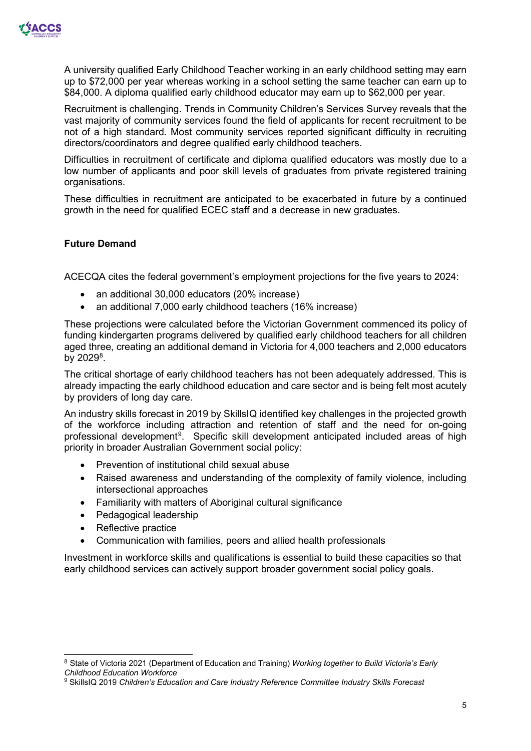

A university qualified Early Childhood Teacher working in an early childhood setting may earn up to \$72,000 per year whereas working in a school setting the same teacher can earn up to \$84,000. A diploma qualified early childhood educator may earn up to \$62,000 per year.

Recruitment is challenging. Trends in Community Children's Services Survey reveals that the vast majority of community services found the field of applicants for recent recruitment to be not of a high standard. Most community services reported significant difficulty in recruiting directors/coordinators and degree qualified early childhood teachers.

Difficulties in recruitment of certificate and diploma qualified educators was mostly due to a low number of applicants and poor skill levels of graduates from private registered training organisations.

These difficulties in recruitment are anticipated to be exacerbated in future by a continued growth in the need for qualified ECEC staff and a decrease in new graduates.

#### **Future Demand**

ACECQA cites the federal government's employment projections for the five years to 2024:

- an additional 30,000 educators (20% increase)
- an additional 7,000 early childhood teachers (16% increase)

These projections were calculated before the Victorian Government commenced its policy of funding kindergarten programs delivered by qualified early childhood teachers for all children aged three, creating an additional demand in Victoria for 4,000 teachers and 2,000 educators by 2029<sup>[8](#page-4-0)</sup>.

The critical shortage of early childhood teachers has not been adequately addressed. This is already impacting the early childhood education and care sector and is being felt most acutely by providers of long day care.

An industry skills forecast in 2019 by SkillsIQ identified key challenges in the projected growth of the workforce including attraction and retention of staff and the need for on-going professional development<sup>[9](#page-4-1)</sup>. Specific skill development anticipated included areas of high priority in broader Australian Government social policy:

- Prevention of institutional child sexual abuse
- Raised awareness and understanding of the complexity of family violence, including intersectional approaches
- Familiarity with matters of Aboriginal cultural significance
- Pedagogical leadership
- Reflective practice
- Communication with families, peers and allied health professionals

Investment in workforce skills and qualifications is essential to build these capacities so that early childhood services can actively support broader government social policy goals.

<span id="page-4-0"></span><sup>8</sup> State of Victoria 2021 (Department of Education and Training) *Working together to Build Victoria's Early Childhood Education Workforce*

<span id="page-4-1"></span><sup>9</sup> SkillsIQ 2019 *Children's Education and Care Industry Reference Committee Industry Skills Forecast*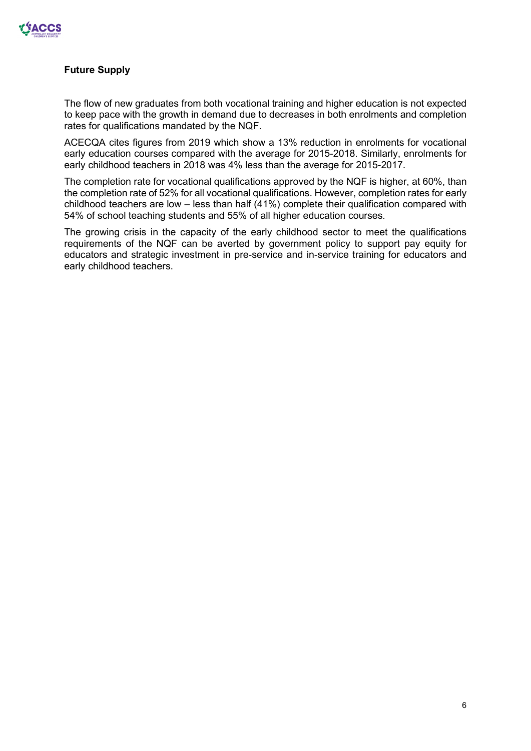

#### **Future Supply**

The flow of new graduates from both vocational training and higher education is not expected to keep pace with the growth in demand due to decreases in both enrolments and completion rates for qualifications mandated by the NQF.

ACECQA cites figures from 2019 which show a 13% reduction in enrolments for vocational early education courses compared with the average for 2015-2018. Similarly, enrolments for early childhood teachers in 2018 was 4% less than the average for 2015-2017.

The completion rate for vocational qualifications approved by the NQF is higher, at 60%, than the completion rate of 52% for all vocational qualifications. However, completion rates for early childhood teachers are low – less than half (41%) complete their qualification compared with 54% of school teaching students and 55% of all higher education courses.

The growing crisis in the capacity of the early childhood sector to meet the qualifications requirements of the NQF can be averted by government policy to support pay equity for educators and strategic investment in pre-service and in-service training for educators and early childhood teachers.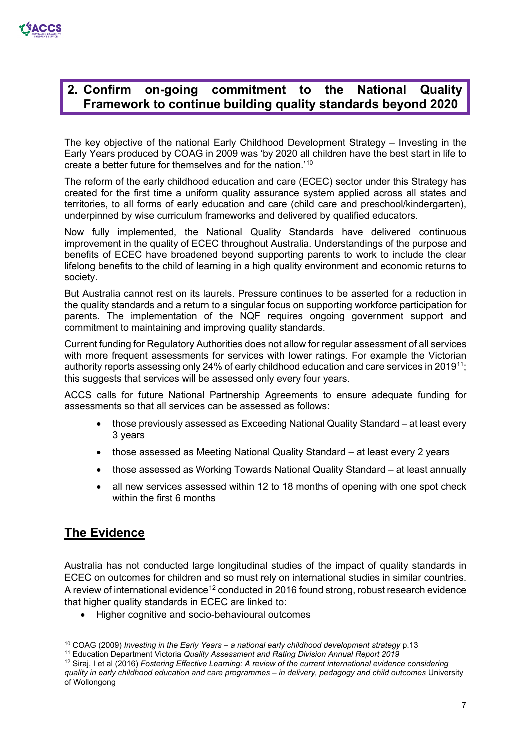

### **2. Confirm on-going commitment to the National Quality Framework to continue building quality standards beyond 2020**

The key objective of the national Early Childhood Development Strategy – Investing in the Early Years produced by COAG in 2009 was 'by 2020 all children have the best start in life to create a better future for themselves and for the nation.'[10](#page-6-0)

The reform of the early childhood education and care (ECEC) sector under this Strategy has created for the first time a uniform quality assurance system applied across all states and territories, to all forms of early education and care (child care and preschool/kindergarten), underpinned by wise curriculum frameworks and delivered by qualified educators.

Now fully implemented, the National Quality Standards have delivered continuous improvement in the quality of ECEC throughout Australia. Understandings of the purpose and benefits of ECEC have broadened beyond supporting parents to work to include the clear lifelong benefits to the child of learning in a high quality environment and economic returns to society.

But Australia cannot rest on its laurels. Pressure continues to be asserted for a reduction in the quality standards and a return to a singular focus on supporting workforce participation for parents. The implementation of the NQF requires ongoing government support and commitment to maintaining and improving quality standards.

Current funding for Regulatory Authorities does not allow for regular assessment of all services with more frequent assessments for services with lower ratings. For example the Victorian authority reports assessing only 24% of early childhood education and care services in 2019<sup>[11](#page-6-1)</sup>; this suggests that services will be assessed only every four years.

ACCS calls for future National Partnership Agreements to ensure adequate funding for assessments so that all services can be assessed as follows:

- those previously assessed as Exceeding National Quality Standard at least every 3 years
- those assessed as Meeting National Quality Standard at least every 2 years
- those assessed as Working Towards National Quality Standard at least annually
- all new services assessed within 12 to 18 months of opening with one spot check within the first 6 months

# **The Evidence**

Australia has not conducted large longitudinal studies of the impact of quality standards in ECEC on outcomes for children and so must rely on international studies in similar countries. A review of international evidence<sup>[12](#page-6-2)</sup> conducted in 2016 found strong, robust research evidence that higher quality standards in ECEC are linked to:

• Higher cognitive and socio-behavioural outcomes

<span id="page-6-0"></span><sup>10</sup> COAG (2009) *Investing in the Early Years – a national early childhood development strategy* p.13

<sup>11</sup> Education Department Victoria *Quality Assessment and Rating Division Annual Report 2019*

<span id="page-6-2"></span><span id="page-6-1"></span><sup>12</sup> Siraj, I et al (2016) *Fostering Effective Learning: A review of the current international evidence considering quality in early childhood education and care programmes – in delivery, pedagogy and child outcomes* University of Wollongong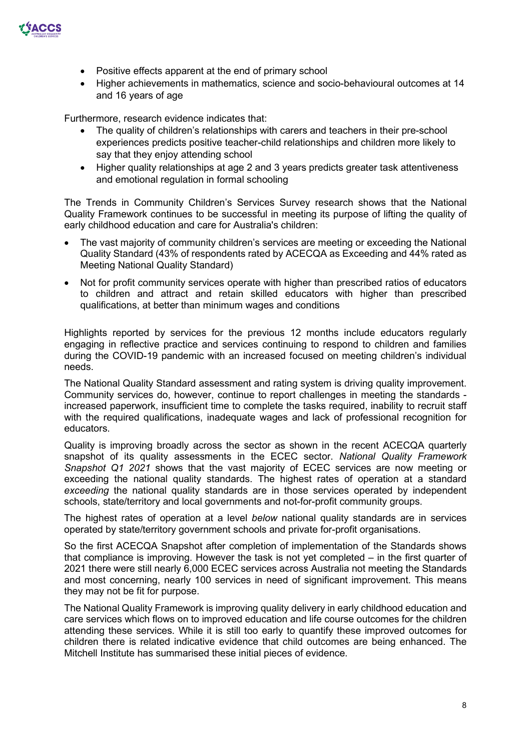

- Positive effects apparent at the end of primary school
- Higher achievements in mathematics, science and socio-behavioural outcomes at 14 and 16 years of age

Furthermore, research evidence indicates that:

- The quality of children's relationships with carers and teachers in their pre-school experiences predicts positive teacher-child relationships and children more likely to say that they enjoy attending school
- Higher quality relationships at age 2 and 3 years predicts greater task attentiveness and emotional regulation in formal schooling

The Trends in Community Children's Services Survey research shows that the National Quality Framework continues to be successful in meeting its purpose of lifting the quality of early childhood education and care for Australia's children:

- The vast majority of community children's services are meeting or exceeding the National Quality Standard (43% of respondents rated by ACECQA as Exceeding and 44% rated as Meeting National Quality Standard)
- Not for profit community services operate with higher than prescribed ratios of educators to children and attract and retain skilled educators with higher than prescribed qualifications, at better than minimum wages and conditions

Highlights reported by services for the previous 12 months include educators regularly engaging in reflective practice and services continuing to respond to children and families during the COVID-19 pandemic with an increased focused on meeting children's individual needs.

The National Quality Standard assessment and rating system is driving quality improvement. Community services do, however, continue to report challenges in meeting the standards increased paperwork, insufficient time to complete the tasks required, inability to recruit staff with the required qualifications, inadequate wages and lack of professional recognition for educators.

Quality is improving broadly across the sector as shown in the recent ACECQA quarterly snapshot of its quality assessments in the ECEC sector. *[National Quality Framework](https://www.acecqa.gov.au/nqf/snapshots)  [Snapshot Q1 2021](https://www.acecqa.gov.au/nqf/snapshots)* shows that the vast majority of ECEC services are now meeting or exceeding the national quality standards. The highest rates of operation at a standard *exceeding* the national quality standards are in those services operated by independent schools, state/territory and local governments and not-for-profit community groups.

The highest rates of operation at a level *below* national quality standards are in services operated by state/territory government schools and private for-profit organisations.

So the first ACECQA Snapshot after completion of implementation of the Standards shows that compliance is improving. However the task is not yet completed – in the first quarter of 2021 there were still nearly 6,000 ECEC services across Australia not meeting the Standards and most concerning, nearly 100 services in need of significant improvement. This means they may not be fit for purpose.

The National Quality Framework is improving quality delivery in early childhood education and care services which flows on to improved education and life course outcomes for the children attending these services. While it is still too early to quantify these improved outcomes for children there is related indicative evidence that child outcomes are being enhanced. The Mitchell Institute has summarised these initial pieces of evidence.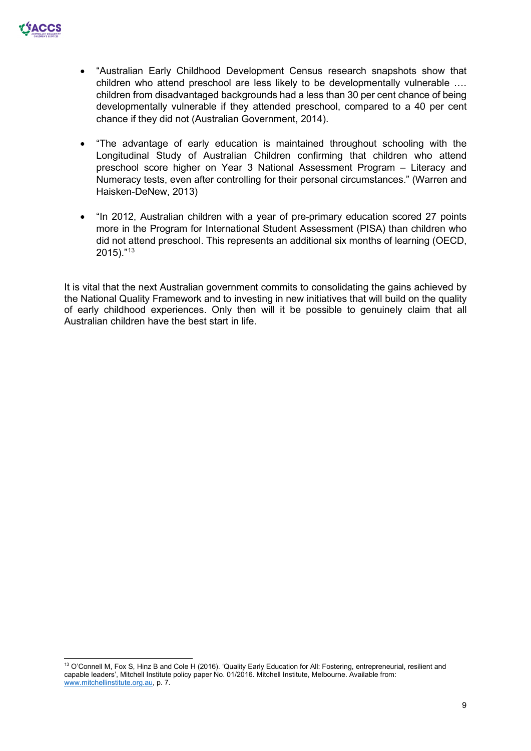

- "Australian Early Childhood Development Census research snapshots show that children who attend preschool are less likely to be developmentally vulnerable …. children from disadvantaged backgrounds had a less than 30 per cent chance of being developmentally vulnerable if they attended preschool, compared to a 40 per cent chance if they did not (Australian Government, 2014).
- "The advantage of early education is maintained throughout schooling with the Longitudinal Study of Australian Children confirming that children who attend preschool score higher on Year 3 National Assessment Program – Literacy and Numeracy tests, even after controlling for their personal circumstances." (Warren and Haisken-DeNew, 2013)
- "In 2012, Australian children with a year of pre-primary education scored 27 points more in the Program for International Student Assessment (PISA) than children who did not attend preschool. This represents an additional six months of learning (OECD, 2015)."[13](#page-8-0)

It is vital that the next Australian government commits to consolidating the gains achieved by the National Quality Framework and to investing in new initiatives that will build on the quality of early childhood experiences. Only then will it be possible to genuinely claim that all Australian children have the best start in life.

<span id="page-8-0"></span><sup>&</sup>lt;sup>13</sup> O'Connell M, Fox S, Hinz B and Cole H (2016). 'Quality Early Education for All: Fostering, entrepreneurial, resilient and capable leaders', Mitchell Institute policy paper No. 01/2016. Mitchell Institute, Melbourne. Available from: [www.mitchellinstitute.org.au,](http://www.mitchellinstitute.org.au/) p. 7.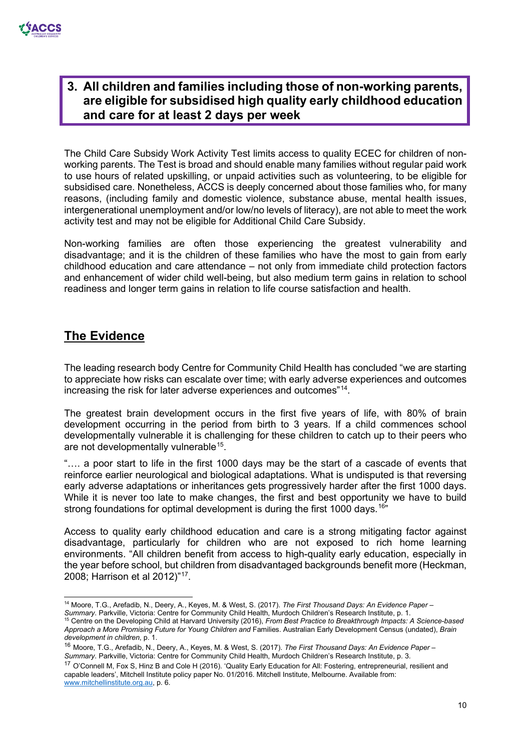

### **3. All children and families including those of non-working parents, are eligible for subsidised high quality early childhood education and care for at least 2 days per week**

The Child Care Subsidy Work Activity Test limits access to quality ECEC for children of nonworking parents. The Test is broad and should enable many families without regular paid work to use hours of related upskilling, or unpaid activities such as volunteering, to be eligible for subsidised care. Nonetheless, ACCS is deeply concerned about those families who, for many reasons, (including family and domestic violence, substance abuse, mental health issues, intergenerational unemployment and/or low/no levels of literacy), are not able to meet the work activity test and may not be eligible for Additional Child Care Subsidy.

Non-working families are often those experiencing the greatest vulnerability and disadvantage; and it is the children of these families who have the most to gain from early childhood education and care attendance – not only from immediate child protection factors and enhancement of wider child well-being, but also medium term gains in relation to school readiness and longer term gains in relation to life course satisfaction and health.

### **The Evidence**

The leading research body Centre for Community Child Health has concluded "we are starting to appreciate how risks can escalate over time; with early adverse experiences and outcomes increasing the risk for later adverse experiences and outcomes"[14.](#page-9-0)

The greatest brain development occurs in the first five years of life, with 80% of brain development occurring in the period from birth to 3 years. If a child commences school developmentally vulnerable it is challenging for these children to catch up to their peers who are not developmentally vulnerable<sup>15</sup>.

"…. a poor start to life in the first 1000 days may be the start of a cascade of events that reinforce earlier neurological and biological adaptations. What is undisputed is that reversing early adverse adaptations or inheritances gets progressively harder after the first 1000 days. While it is never too late to make changes, the first and best opportunity we have to build strong foundations for optimal development is during the first 1000 days.<sup>[16"](#page-9-2)</sup>

Access to quality early childhood education and care is a strong mitigating factor against disadvantage, particularly for children who are not exposed to rich home learning environments. "All children benefit from access to high-quality early education, especially in the year before school, but children from disadvantaged backgrounds benefit more (Heckman, 2008; Harrison et al 2012)"[17.](#page-9-3)

<span id="page-9-3"></span><sup>17</sup> O'Connell M, Fox S, Hinz B and Cole H (2016). 'Quality Early Education for All: Fostering, entrepreneurial, resilient and capable leaders', Mitchell Institute policy paper No. 01/2016. Mitchell Institute, Melbourne. Available from: [www.mitchellinstitute.org.au,](http://www.mitchellinstitute.org.au/) p. 6.

<span id="page-9-0"></span><sup>14</sup> Moore, T.G., Arefadib, N., Deery, A., Keyes, M. & West, S. (2017). *The First Thousand Days: An Evidence Paper –*

<span id="page-9-1"></span><sup>&</sup>lt;sup>15</sup> Centre on the Developing Child at Harvard University (2016), From Best Practice to Breakthrough Impacts: A Science-based *Approach a More Promising Future for Young Children and* Families. Australian Early Development Census (undated), *Brain development in children*, p. 1.

<span id="page-9-2"></span><sup>16</sup> Moore, T.G., Arefadib, N., Deery, A., Keyes, M. & West, S. (2017). *The First Thousand Days: An Evidence Paper – Summary*. Parkville, Victoria: Centre for Community Child Health, Murdoch Children's Research Institute, p. 3.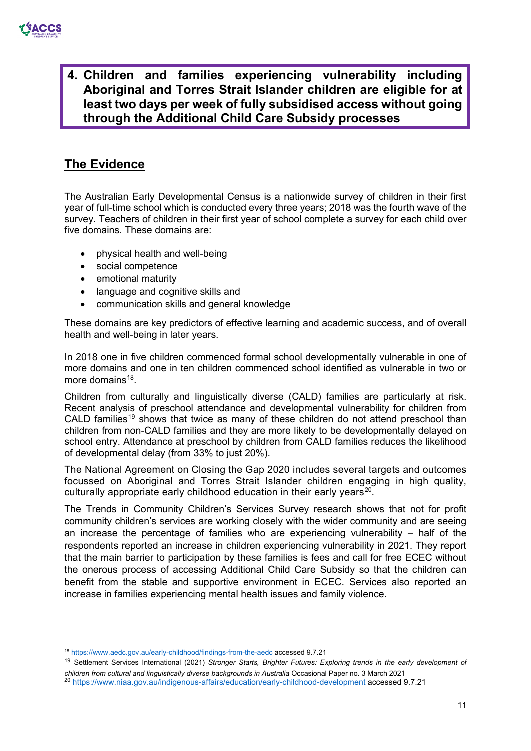**4. Children and families experiencing vulnerability including Aboriginal and Torres Strait Islander children are eligible for at least two days per week of fully subsidised access without going through the Additional Child Care Subsidy processes** 

# **The Evidence**

The Australian Early Developmental Census is a nationwide survey of children in their first year of full-time school which is conducted every three years; 2018 was the fourth wave of the survey. Teachers of children in their first year of school complete a survey for each child over five domains. These domains are:

- physical health and well-being
- social competence
- emotional maturity
- language and cognitive skills and
- communication skills and general knowledge

These domains are key predictors of effective learning and academic success, and of overall health and well-being in later years.

In 2018 one in five children commenced formal school developmentally vulnerable in one of more domains and one in ten children commenced school identified as vulnerable in two or more domains $18$ .

Children from culturally and linguistically diverse (CALD) families are particularly at risk. Recent analysis of preschool attendance and developmental vulnerability for children from CALD families<sup>[19](#page-10-1)</sup> shows that twice as many of these children do not attend preschool than children from non-CALD families and they are more likely to be developmentally delayed on school entry. Attendance at preschool by children from CALD families reduces the likelihood of developmental delay (from 33% to just 20%).

The National Agreement on Closing the Gap 2020 includes several targets and outcomes focussed on Aboriginal and Torres Strait Islander children engaging in high quality, culturally appropriate early childhood education in their early years<sup>20</sup>.

The Trends in Community Children's Services Survey research shows that not for profit community children's services are working closely with the wider community and are seeing an increase the percentage of families who are experiencing vulnerability – half of the respondents reported an increase in children experiencing vulnerability in 2021. They report that the main barrier to participation by these families is fees and call for free ECEC without the onerous process of accessing Additional Child Care Subsidy so that the children can benefit from the stable and supportive environment in ECEC. Services also reported an increase in families experiencing mental health issues and family violence.

<span id="page-10-0"></span><sup>18</sup> <https://www.aedc.gov.au/early-childhood/findings-from-the-aedc> accessed 9.7.21

<span id="page-10-1"></span><sup>19</sup> Settlement Services International (2021) *Stronger Starts, Brighter Futures: Exploring trends in the early development of children from cultural and linguistically diverse backgrounds in Australia* Occasional Paper no. 3 March 2021 20 <https://www.niaa.gov.au/indigenous-affairs/education/early-childhood-development> accessed 9.7.21

<span id="page-10-2"></span>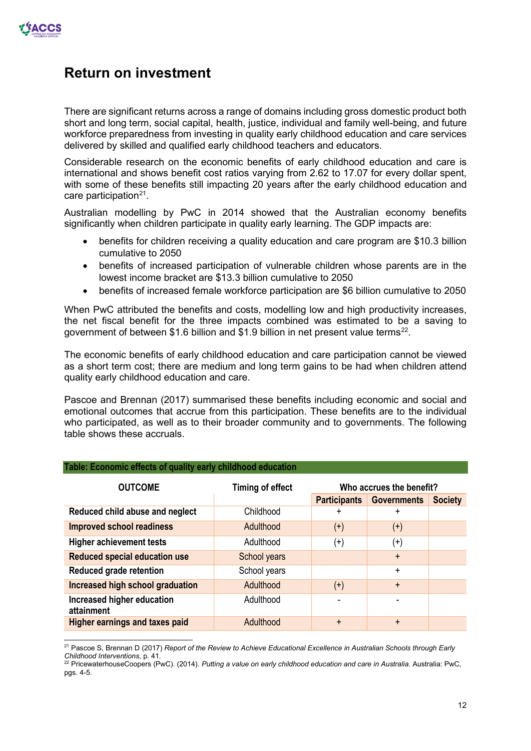

# **Return on investment**

There are significant returns across a range of domains including gross domestic product both short and long term, social capital, health, justice, individual and family well-being, and future workforce preparedness from investing in quality early childhood education and care services delivered by skilled and qualified early childhood teachers and educators.

Considerable research on the economic benefits of early childhood education and care is international and shows benefit cost ratios varying from 2.62 to 17.07 for every dollar spent, with some of these benefits still impacting 20 years after the early childhood education and care participation $21$ .

Australian modelling by PwC in 2014 showed that the Australian economy benefits significantly when children participate in quality early learning. The GDP impacts are:

- benefits for children receiving a quality education and care program are \$10.3 billion cumulative to 2050
- benefits of increased participation of vulnerable children whose parents are in the lowest income bracket are \$13.3 billion cumulative to 2050
- benefits of increased female workforce participation are \$6 billion cumulative to 2050

When PwC attributed the benefits and costs, modelling low and high productivity increases, the net fiscal benefit for the three impacts combined was estimated to be a saving to government of between \$1.6 billion and \$1.9 billion in net present value terms<sup>22</sup>.

The economic benefits of early childhood education and care participation cannot be viewed as a short term cost; there are medium and long term gains to be had when children attend quality early childhood education and care.

Pascoe and Brennan (2017) summarised these benefits including economic and social and emotional outcomes that accrue from this participation. These benefits are to the individual who participated, as well as to their broader community and to governments. The following table shows these accruals.

| <b>OUTCOME</b>                           | <b>Timing of effect</b> | Who accrues the benefit? |                    |                |
|------------------------------------------|-------------------------|--------------------------|--------------------|----------------|
|                                          |                         | <b>Participants</b>      | <b>Governments</b> | <b>Society</b> |
| Reduced child abuse and neglect          | Childhood               | +                        | $\ddot{}$          |                |
| <b>Improved school readiness</b>         | Adulthood               | $^{(+)}$                 | $^{(+)}$           |                |
| <b>Higher achievement tests</b>          | Adulthood               | $^{(+)}$                 | $^{(+)}$           |                |
| <b>Reduced special education use</b>     | School years            |                          | $+$                |                |
| Reduced grade retention                  | School years            |                          | $\ddot{}$          |                |
| Increased high school graduation         | Adulthood               | $^{(+)}$                 | $+$                |                |
| Increased higher education<br>attainment | Adulthood               |                          |                    |                |
| <b>Higher earnings and taxes paid</b>    | Adulthood               | $\div$                   | $+$                |                |

#### **Table: Economic effects of quality early childhood education**

<span id="page-11-0"></span><sup>21</sup> Pascoe S, Brennan D (2017) *Report of the Review to Achieve Educational Excellence in Australian Schools through Early Childhood Interventions*, p. 41.

<span id="page-11-1"></span><sup>22</sup> PricewaterhouseCoopers (PwC). (2014). *Putting a value on early childhood education and care in Australia*. Australia: PwC, pgs. 4-5.